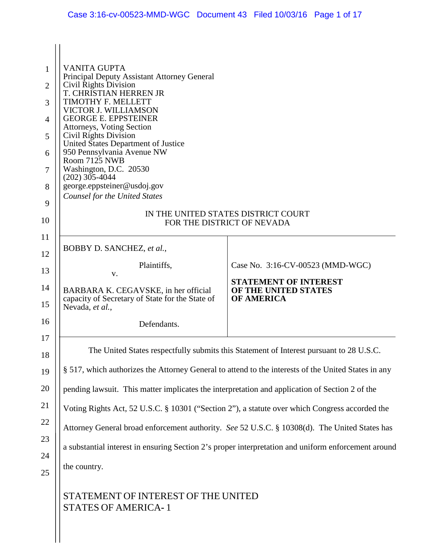| $\mathbf{1}$   | <b>VANITA GUPTA</b>                                                                                        |                                           |  |
|----------------|------------------------------------------------------------------------------------------------------------|-------------------------------------------|--|
| $\overline{2}$ | Principal Deputy Assistant Attorney General<br>Civil Rights Division                                       |                                           |  |
| 3              | T. CHRISTIAN HERREN JR<br>TIMOTHY F. MELLETT                                                               |                                           |  |
| 4              | VICTOR J. WILLIAMSON<br><b>GEORGE E. EPPSTEINER</b>                                                        |                                           |  |
| 5              | Attorneys, Voting Section<br>Civil Rights Division                                                         |                                           |  |
| 6              | United States Department of Justice<br>950 Pennsylvania Avenue NW                                          |                                           |  |
| 7              | Room 7125 NWB<br>Washington, D.C. 20530                                                                    |                                           |  |
| 8              | $(202)$ 305-4044<br>george.eppsteiner@usdoj.gov                                                            |                                           |  |
| 9              | <b>Counsel for the United States</b>                                                                       |                                           |  |
| 10             | IN THE UNITED STATES DISTRICT COURT<br>FOR THE DISTRICT OF NEVADA                                          |                                           |  |
| 11             | BOBBY D. SANCHEZ, et al.,                                                                                  |                                           |  |
| 12             | Plaintiffs,                                                                                                | Case No. 3:16-CV-00523 (MMD-WGC)          |  |
| 13             | V.                                                                                                         | <b>STATEMENT OF INTEREST</b>              |  |
| 14<br>15       | BARBARA K. CEGAVSKE, in her official<br>capacity of Secretary of State for the State of<br>Nevada, et al., | OF THE UNITED STATES<br><b>OF AMERICA</b> |  |
| 16             | Defendants.                                                                                                |                                           |  |
| 17             | The United States respectfully submits this Statement of Interest pursuant to 28 U.S.C.                    |                                           |  |
| 18<br>19       | § 517, which authorizes the Attorney General to attend to the interests of the United States in any        |                                           |  |
| 20             |                                                                                                            |                                           |  |
| 21             | pending lawsuit. This matter implicates the interpretation and application of Section 2 of the             |                                           |  |
| 22             | Voting Rights Act, 52 U.S.C. § 10301 ("Section 2"), a statute over which Congress accorded the             |                                           |  |
| 23             | Attorney General broad enforcement authority. See 52 U.S.C. § 10308(d). The United States has              |                                           |  |
| 24             | a substantial interest in ensuring Section 2's proper interpretation and uniform enforcement around        |                                           |  |
| 25             | the country.                                                                                               |                                           |  |
|                | STATEMENT OF INTEREST OF THE UNITED<br><b>STATES OF AMERICA-1</b>                                          |                                           |  |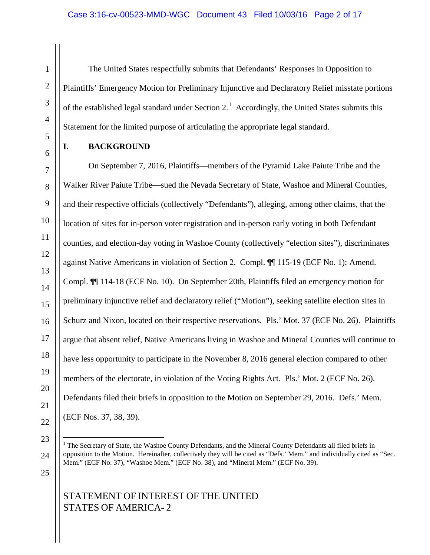The United States respectfully submits that Defendants' Responses in Opposition to Plaintiffs' Emergency Motion for Preliminary Injunctive and Declaratory Relief misstate portions of the established legal standard under Section  $2<sup>1</sup>$  $2<sup>1</sup>$  $2<sup>1</sup>$  Accordingly, the United States submits this Statement for the limited purpose of articulating the appropriate legal standard.

### **I. BACKGROUND**

On September 7, 2016, Plaintiffs—members of the Pyramid Lake Paiute Tribe and the Walker River Paiute Tribe—sued the Nevada Secretary of State, Washoe and Mineral Counties, and their respective officials (collectively "Defendants"), alleging, among other claims, that the location of sites for in-person voter registration and in-person early voting in both Defendant counties, and election-day voting in Washoe County (collectively "election sites"), discriminates against Native Americans in violation of Section 2. Compl. ¶¶ 115-19 (ECF No. 1); Amend. Compl. ¶¶ 114-18 (ECF No. 10). On September 20th, Plaintiffs filed an emergency motion for preliminary injunctive relief and declaratory relief ("Motion"), seeking satellite election sites in Schurz and Nixon, located on their respective reservations. Pls.' Mot. 37 (ECF No. 26). Plaintiffs argue that absent relief, Native Americans living in Washoe and Mineral Counties will continue to have less opportunity to participate in the November 8, 2016 general election compared to other members of the electorate, in violation of the Voting Rights Act. Pls.' Mot. 2 (ECF No. 26). Defendants filed their briefs in opposition to the Motion on September 29, 2016. Defs.' Mem. (ECF Nos. 37, 38, 39).

<span id="page-1-0"></span>25

<sup>&</sup>lt;sup>1</sup> The Secretary of State, the Washoe County Defendants, and the Mineral County Defendants all filed briefs in opposition to the Motion. Hereinafter, collectively they will be cited as "Defs.' Mem." and individually cited as "Sec. Mem." (ECF No. 37), "Washoe Mem." (ECF No. 38), and "Mineral Mem." (ECF No. 39).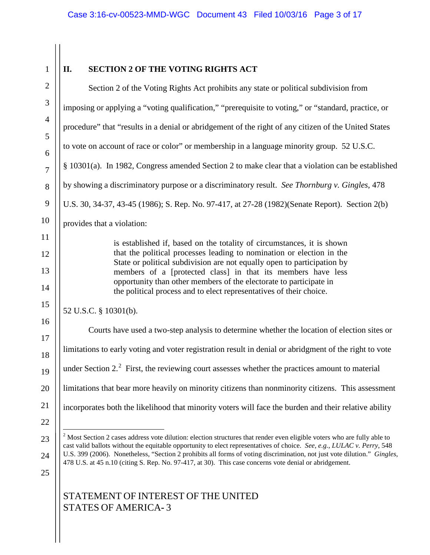<span id="page-2-0"></span>

| $\mathbf{1}$   | <b>SECTION 2 OF THE VOTING RIGHTS ACT</b><br>II.                                                                                                                                                                                                      |
|----------------|-------------------------------------------------------------------------------------------------------------------------------------------------------------------------------------------------------------------------------------------------------|
| $\overline{2}$ | Section 2 of the Voting Rights Act prohibits any state or political subdivision from                                                                                                                                                                  |
| 3              | imposing or applying a "voting qualification," "prerequisite to voting," or "standard, practice, or                                                                                                                                                   |
| $\overline{4}$ | procedure" that "results in a denial or abridgement of the right of any citizen of the United States                                                                                                                                                  |
| 5              | to vote on account of race or color" or membership in a language minority group. 52 U.S.C.                                                                                                                                                            |
| 6<br>$\tau$    | § 10301(a). In 1982, Congress amended Section 2 to make clear that a violation can be established                                                                                                                                                     |
| 8              | by showing a discriminatory purpose or a discriminatory result. See Thornburg v. Gingles, 478                                                                                                                                                         |
| 9              | U.S. 30, 34-37, 43-45 (1986); S. Rep. No. 97-417, at 27-28 (1982)(Senate Report). Section 2(b)                                                                                                                                                        |
| 10             | provides that a violation:                                                                                                                                                                                                                            |
| 11             | is established if, based on the totality of circumstances, it is shown                                                                                                                                                                                |
| 12             | that the political processes leading to nomination or election in the<br>State or political subdivision are not equally open to participation by                                                                                                      |
| 13<br>14       | members of a [protected class] in that its members have less<br>opportunity than other members of the electorate to participate in<br>the political process and to elect representatives of their choice.                                             |
| 15             | 52 U.S.C. § 10301(b).                                                                                                                                                                                                                                 |
| 16             | Courts have used a two-step analysis to determine whether the location of election sites or                                                                                                                                                           |
| 17<br>18       | limitations to early voting and voter registration result in denial or abridgment of the right to vote                                                                                                                                                |
| 19             | under Section 2. <sup>2</sup> First, the reviewing court assesses whether the practices amount to material                                                                                                                                            |
| 20             | limitations that bear more heavily on minority citizens than nonminority citizens. This assessment                                                                                                                                                    |
| 21             | incorporates both the likelihood that minority voters will face the burden and their relative ability                                                                                                                                                 |
| 22             |                                                                                                                                                                                                                                                       |
| 23             | $2$ Most Section 2 cases address vote dilution: election structures that render even eligible voters who are fully able to<br>cast valid ballots without the equitable opportunity to elect representatives of choice. See, e.g., LULAC v. Perry, 548 |
| 24<br>25       | U.S. 399 (2006). Nonetheless, "Section 2 prohibits all forms of voting discrimination, not just vote dilution." Gingles,<br>478 U.S. at 45 n.10 (citing S. Rep. No. 97-417, at 30). This case concerns vote denial or abridgement.                    |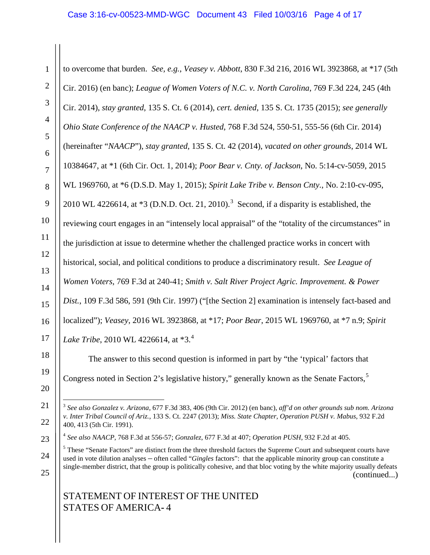#### Case 3:16-cv-00523-MMD-WGC Document 43 Filed 10/03/16 Page 4 of 17

| $\mathbf{1}$        | to overcome that burden. See, e.g., Veasey v. Abbott, 830 F.3d 216, 2016 WL 3923868, at *17 (5th         |  |
|---------------------|----------------------------------------------------------------------------------------------------------|--|
| $\overline{2}$      | Cir. 2016) (en banc); League of Women Voters of N.C. v. North Carolina, 769 F.3d 224, 245 (4th           |  |
| 3                   | Cir. 2014), stay granted, 135 S. Ct. 6 (2014), cert. denied, 135 S. Ct. 1735 (2015); see generally       |  |
| $\overline{4}$      | Ohio State Conference of the NAACP v. Husted, 768 F.3d 524, 550-51, 555-56 (6th Cir. 2014)               |  |
| 5                   | (hereinafter "NAACP"), stay granted, 135 S. Ct. 42 (2014), vacated on other grounds, 2014 WL             |  |
| 6<br>$\overline{7}$ | 10384647, at *1 (6th Cir. Oct. 1, 2014); Poor Bear v. Cnty. of Jackson, No. 5:14-cv-5059, 2015           |  |
| 8                   | WL 1969760, at *6 (D.S.D. May 1, 2015); Spirit Lake Tribe v. Benson Cnty., No. 2:10-cv-095,              |  |
| 9                   | 2010 WL 4226614, at $*3$ (D.N.D. Oct. 21, 2010). <sup>3</sup> Second, if a disparity is established, the |  |
| 10                  | reviewing court engages in an "intensely local appraisal" of the "totality of the circumstances" in      |  |
| 11                  | the jurisdiction at issue to determine whether the challenged practice works in concert with             |  |
| 12                  | historical, social, and political conditions to produce a discriminatory result. See League of           |  |
| 13                  | Women Voters, 769 F.3d at 240-41; Smith v. Salt River Project Agric. Improvement. & Power                |  |
| 14                  | Dist., 109 F.3d 586, 591 (9th Cir. 1997) ("[the Section 2] examination is intensely fact-based and       |  |
| 15<br>16            | localized"); Veasey, 2016 WL 3923868, at *17; Poor Bear, 2015 WL 1969760, at *7 n.9; Spirit              |  |
| 17                  | Lake Tribe, 2010 WL 4226614, at *3. <sup>4</sup>                                                         |  |
| 18                  | The answer to this second question is informed in part by "the 'typical' factors that                    |  |
| 19                  | Congress noted in Section 2's legislative history," generally known as the Senate Factors, <sup>5</sup>  |  |
| 20                  |                                                                                                          |  |

 <sup>3</sup> *See also Gonzalez v. Arizona*, 677 F.3d 383, 406 (9th Cir. 2012) (en banc), *aff'd on other grounds sub nom. Arizona v. Inter Tribal Council of Ariz.*, 133 S. Ct. 2247 (2013); *Miss. State Chapter, Operation PUSH v. Mabus*, 932 F.2d 400, 413 (5th Cir. 1991).

# STATEMENT OF INTEREST OF THE UNITED STATES OF AMERICA**-** 4

<span id="page-3-0"></span>21

22

<span id="page-3-1"></span>23

<span id="page-3-2"></span>24

25

<sup>4</sup> *See also NAACP*, 768 F.3d at 556-57; *Gonzalez*, 677 F.3d at 407; *Operation PUSH*, 932 F.2d at 405.

<sup>&</sup>lt;sup>5</sup> These "Senate Factors" are distinct from the three threshold factors the Supreme Court and subsequent courts have used in vote dilution analyses – often called "*Gingles* factors": that the applicable minority group can constitute a single-member district, that the group is politically cohesive, and that bloc voting by the white majority usually defeats (continued...)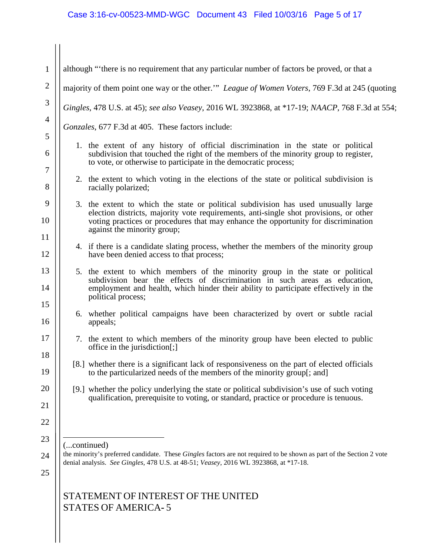#### Case 3:16-cv-00523-MMD-WGC Document 43 Filed 10/03/16 Page 5 of 17

STATEMENT OF INTEREST OF THE UNITED STATES OF AMERICA**-** 5 1 2 3 4 5 6 7 8 9 10 11 12 13 14 15 16 17 18 19 20 21 22 23 24 25 although "'there is no requirement that any particular number of factors be proved, or that a majority of them point one way or the other.'" *League of Women Voters*, 769 F.3d at 245 (quoting *Gingles*, 478 U.S. at 45); *see also Veasey*, 2016 WL 3923868, at \*17-19; *NAACP*, 768 F.3d at 554; *Gonzales*, 677 F.3d at 405. These factors include: 1. the extent of any history of official discrimination in the state or political subdivision that touched the right of the members of the minority group to register, to vote, or otherwise to participate in the democratic process; 2. the extent to which voting in the elections of the state or political subdivision is racially polarized; 3. the extent to which the state or political subdivision has used unusually large election districts, majority vote requirements, anti-single shot provisions, or other voting practices or procedures that may enhance the opportunity for discrimination against the minority group; 4. if there is a candidate slating process, whether the members of the minority group have been denied access to that process; 5. the extent to which members of the minority group in the state or political subdivision bear the effects of discrimination in such areas as education, employment and health, which hinder their ability to participate effectively in the political process; 6. whether political campaigns have been characterized by overt or subtle racial appeals; 7. the extent to which members of the minority group have been elected to public office in the jurisdiction[;] [8.] whether there is a significant lack of responsiveness on the part of elected officials to the particularized needs of the members of the minority group[; and] [9.] whether the policy underlying the state or political subdivision's use of such voting qualification, prerequisite to voting, or standard, practice or procedure is tenuous. (...continued) the minority's preferred candidate. These *Gingles* factors are not required to be shown as part of the Section 2 vote denial analysis. *See Gingles,* 478 U.S. at 48-51; *Veasey*, 2016 WL 3923868, at \*17-18.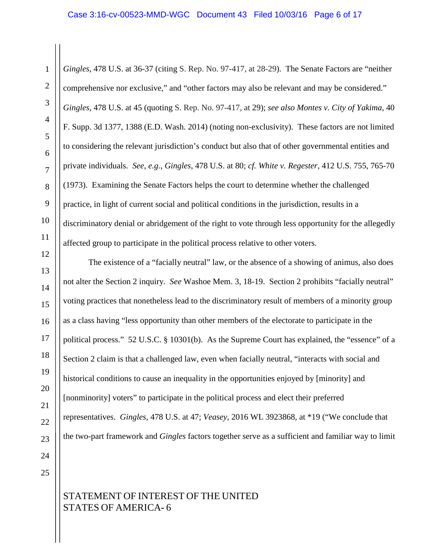#### Case 3:16-cv-00523-MMD-WGC Document 43 Filed 10/03/16 Page 6 of 17

*Gingles*, 478 U.S. at 36-37 (citing S. Rep. No. 97-417, at 28-29). The Senate Factors are "neither comprehensive nor exclusive," and "other factors may also be relevant and may be considered." *Gingles*, 478 U.S. at 45 (quoting S. Rep. No. 97-417, at 29); *see also Montes v. City of Yakima*, 40 F. Supp. 3d 1377, 1388 (E.D. Wash. 2014) (noting non-exclusivity). These factors are not limited to considering the relevant jurisdiction's conduct but also that of other governmental entities and private individuals. *See, e.g.*, *Gingles*, 478 U.S. at 80; *cf. White v. Regester*, 412 U.S. 755, 765-70 (1973). Examining the Senate Factors helps the court to determine whether the challenged practice, in light of current social and political conditions in the jurisdiction, results in a discriminatory denial or abridgement of the right to vote through less opportunity for the allegedly affected group to participate in the political process relative to other voters.

The existence of a "facially neutral" law, or the absence of a showing of animus, also does not alter the Section 2 inquiry. *See* Washoe Mem. 3, 18-19. Section 2 prohibits "facially neutral" voting practices that nonetheless lead to the discriminatory result of members of a minority group as a class having "less opportunity than other members of the electorate to participate in the political process." 52 U.S.C. § 10301(b). As the Supreme Court has explained, the "essence" of a Section 2 claim is that a challenged law, even when facially neutral, "interacts with social and historical conditions to cause an inequality in the opportunities enjoyed by [minority] and [nonminority] voters" to participate in the political process and elect their preferred representatives. *Gingles*, 478 U.S. at 47; *Veasey*, 2016 WL 3923868, at \*19 ("We conclude that the two-part framework and *Gingles* factors together serve as a sufficient and familiar way to limit

25

24

1

2

3

4

5

6

7

8

9

10

11

12

13

14

15

16

17

18

19

20

21

22

23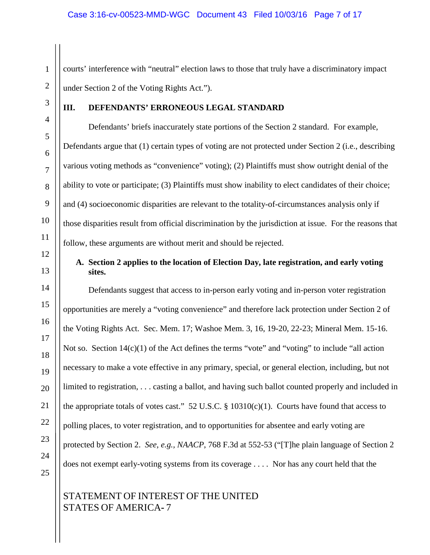courts' interference with "neutral" election laws to those that truly have a discriminatory impact under Section 2 of the Voting Rights Act.").

### **III. DEFENDANTS' ERRONEOUS LEGAL STANDARD**

Defendants' briefs inaccurately state portions of the Section 2 standard. For example, Defendants argue that (1) certain types of voting are not protected under Section 2 (i.e., describing various voting methods as "convenience" voting); (2) Plaintiffs must show outright denial of the ability to vote or participate; (3) Plaintiffs must show inability to elect candidates of their choice; and (4) socioeconomic disparities are relevant to the totality-of-circumstances analysis only if those disparities result from official discrimination by the jurisdiction at issue. For the reasons that follow, these arguments are without merit and should be rejected.

### **A. Section 2 applies to the location of Election Day, late registration, and early voting sites.**

Defendants suggest that access to in-person early voting and in-person voter registration opportunities are merely a "voting convenience" and therefore lack protection under Section 2 of the Voting Rights Act. Sec. Mem. 17; Washoe Mem. 3, 16, 19-20, 22-23; Mineral Mem. 15-16. Not so. Section 14(c)(1) of the Act defines the terms "vote" and "voting" to include "all action necessary to make a vote effective in any primary, special, or general election, including, but not limited to registration, . . . casting a ballot, and having such ballot counted properly and included in the appropriate totals of votes cast." 52 U.S.C.  $\S$  10310(c)(1). Courts have found that access to polling places, to voter registration, and to opportunities for absentee and early voting are protected by Section 2. *See, e.g., NAACP*, 768 F.3d at 552-53 ("[T]he plain language of Section 2 does not exempt early-voting systems from its coverage . . . . Nor has any court held that the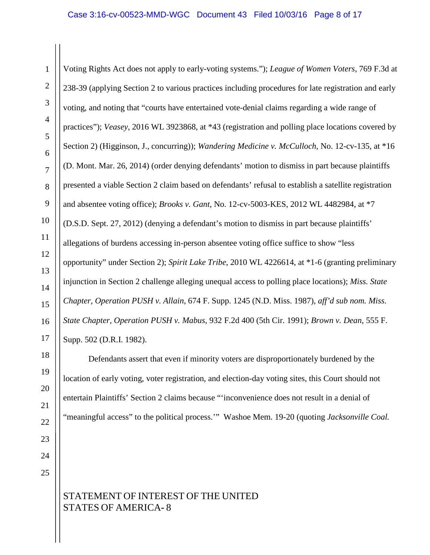Voting Rights Act does not apply to early-voting systems."); *League of Women Voters*, 769 F.3d at 238-39 (applying Section 2 to various practices including procedures for late registration and early voting, and noting that "courts have entertained vote-denial claims regarding a wide range of practices"); *Veasey*, 2016 WL 3923868, at \*43 (registration and polling place locations covered by Section 2) (Higginson, J., concurring)); *Wandering Medicine v. McCulloch*, No. 12-cv-135, at \*16 (D. Mont. Mar. 26, 2014) (order denying defendants' motion to dismiss in part because plaintiffs presented a viable Section 2 claim based on defendants' refusal to establish a satellite registration and absentee voting office); *Brooks v. Gant*, No. 12-cv-5003-KES, 2012 WL 4482984, at \*7 (D.S.D. Sept. 27, 2012) (denying a defendant's motion to dismiss in part because plaintiffs' allegations of burdens accessing in-person absentee voting office suffice to show "less opportunity" under Section 2); *Spirit Lake Tribe*, 2010 WL 4226614, at \*1-6 (granting preliminary injunction in Section 2 challenge alleging unequal access to polling place locations); *Miss. State Chapter, Operation PUSH v. Allain*, 674 F. Supp. 1245 (N.D. Miss. 1987), *aff'd sub nom. Miss. State Chapter, Operation PUSH v. Mabus*, 932 F.2d 400 (5th Cir. 1991); *Brown v. Dean*, 555 F. Supp. 502 (D.R.I. 1982).

Defendants assert that even if minority voters are disproportionately burdened by the location of early voting, voter registration, and election-day voting sites, this Court should not entertain Plaintiffs' Section 2 claims because "'inconvenience does not result in a denial of "meaningful access" to the political process.'" Washoe Mem. 19-20 (quoting *Jacksonville Coal.*

24

## STATEMENT OF INTEREST OF THE UNITED STATES OF AMERICA**-** 8

1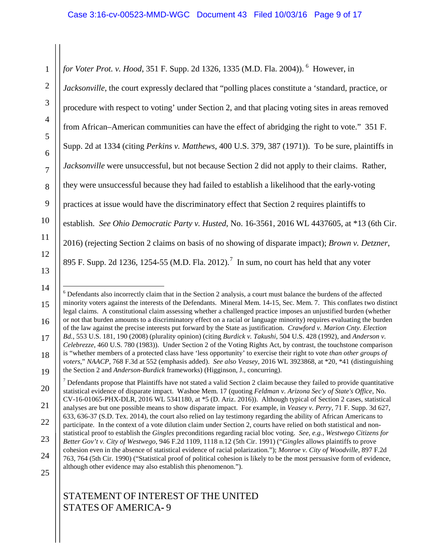1 2 3 4 5 6 7 8 9 10 11 12 13 for Voter Prot. v. Hood, 351 F. Supp. 2d 132[6](#page-8-0), 1335 (M.D. Fla. 2004)). <sup>6</sup> However, in *Jacksonville,* the court expressly declared that "polling places constitute a 'standard, practice, or procedure with respect to voting' under Section 2, and that placing voting sites in areas removed from African–American communities can have the effect of abridging the right to vote." 351 F. Supp. 2d at 1334 (citing *Perkins v. Matthews*, 400 U.S. 379, 387 (1971)). To be sure, plaintiffs in *Jacksonville* were unsuccessful, but not because Section 2 did not apply to their claims. Rather, they were unsuccessful because they had failed to establish a likelihood that the early-voting practices at issue would have the discriminatory effect that Section 2 requires plaintiffs to establish. *See Ohio Democratic Party v. Husted*, No. 16-3561, 2016 WL 4437605, at \*13 (6th Cir. 2016) (rejecting Section 2 claims on basis of no showing of disparate impact); *Brown v. Detzner*, 895 F. Supp. 2d 1236, 1254-55 (M.D. Fla. 2012).<sup>[7](#page-8-1)</sup> In sum, no court has held that any voter

<span id="page-8-0"></span>15

16

17

18

19

 6 Defendants also incorrectly claim that in the Section 2 analysis, a court must balance the burdens of the affected minority voters against the interests of the Defendants. Mineral Mem. 14-15, Sec. Mem. 7. This conflates two distinct legal claims. A constitutional claim assessing whether a challenged practice imposes an unjustified burden (whether or not that burden amounts to a discriminatory effect on a racial or language minority) requires evaluating the burden of the law against the precise interests put forward by the State as justification. *Crawford v. Marion Cnty. Election Bd.*, 553 U.S. 181, 190 (2008) (plurality opinion) (citing *Burdick v. Takushi*, 504 U.S. 428 (1992), and *Anderson v. Celebrezze*, 460 U.S. 780 (1983)). Under Section 2 of the Voting Rights Act, by contrast, the touchstone comparison is "whether members of a protected class have 'less opportunity' to exercise their right to vote *than other groups of voters*," *NAACP*, 768 F.3d at 552 (emphasis added). *See also Veasey*, 2016 WL 3923868, at \*20, \*41 (distinguishing the Section 2 and *Anderson-Burdick* frameworks) (Higginson, J., concurring).

<sup>14</sup>

<span id="page-8-1"></span><sup>20</sup> 21 22 23 24 25  $<sup>7</sup>$  Defendants propose that Plaintiffs have not stated a valid Section 2 claim because they failed to provide quantitative</sup> statistical evidence of disparate impact. Washoe Mem. 17 (quoting *Feldman v. Arizona Sec'y of State's Office*, No. CV-16-01065-PHX-DLR, 2016 WL 5341180, at \*5 (D. Ariz. 2016)). Although typical of Section 2 cases, statistical analyses are but one possible means to show disparate impact. For example, in *Veasey v. Perry*, 71 F. Supp. 3d 627, 633, 636-37 (S.D. Tex. 2014), the court also relied on lay testimony regarding the ability of African Americans to participate. In the context of a vote dilution claim under Section 2, courts have relied on both statistical and nonstatistical proof to establish the *Gingles* preconditions regarding racial bloc voting. *See, e.g.*, *Westwego Citizens for Better Gov't v. City of Westwego*, 946 F.2d 1109, 1118 n.12 (5th Cir. 1991) ("*Gingles* allows plaintiffs to prove cohesion even in the absence of statistical evidence of racial polarization."); *[Monroe v. City of Woodville](http://www.westlaw.com/Link/Document/FullText?findType=Y&serNum=1990054038&pubNum=350&originatingDoc=I473feadc0fa311dd9876f446780b7bdc&refType=RP&fi=co_pp_sp_350_764&originationContext=document&vr=3.0&rs=cblt1.0&transitionType=DocumentItem&contextData=(sc.Default)#co_pp_sp_350_764)*, 897 F.2d [763, 764 \(5th Cir. 1990\)](http://www.westlaw.com/Link/Document/FullText?findType=Y&serNum=1990054038&pubNum=350&originatingDoc=I473feadc0fa311dd9876f446780b7bdc&refType=RP&fi=co_pp_sp_350_764&originationContext=document&vr=3.0&rs=cblt1.0&transitionType=DocumentItem&contextData=(sc.Default)#co_pp_sp_350_764) ("Statistical proof of political cohesion is likely to be the most persuasive form of evidence, although other evidence may also establish this phenomenon.").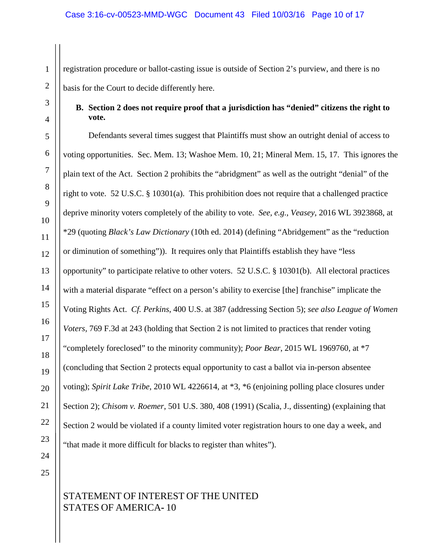registration procedure or ballot-casting issue is outside of Section 2's purview, and there is no basis for the Court to decide differently here.

### **B. Section 2 does not require proof that a jurisdiction has "denied" citizens the right to vote.**

Defendants several times suggest that Plaintiffs must show an outright denial of access to voting opportunities. Sec. Mem. 13; Washoe Mem. 10, 21; Mineral Mem. 15, 17. This ignores the plain text of the Act. Section 2 prohibits the "abridgment" as well as the outright "denial" of the right to vote. 52 U.S.C. § 10301(a). This prohibition does not require that a challenged practice deprive minority voters completely of the ability to vote. *See, e.g.*, *Veasey*, 2016 WL 3923868, at \*29 (quoting *Black's Law Dictionary* (10th ed. 2014) (defining "Abridgement" as the "reduction or diminution of something")). It requires only that Plaintiffs establish they have "less opportunity" to participate relative to other voters. 52 U.S.C. § 10301(b). All electoral practices with a material disparate "effect on a person's ability to exercise [the] franchise" implicate the Voting Rights Act. *Cf. Perkins*, 400 U.S. at 387 (addressing Section 5); *see also League of Women Voters,* 769 F.3d at 243 (holding that Section 2 is not limited to practices that render voting "completely foreclosed" to the minority community); *Poor Bear*, 2015 WL 1969760, at \*7 (concluding that Section 2 protects equal opportunity to cast a ballot via in-person absentee voting); *Spirit Lake Tribe*, 2010 WL 4226614, at \*3, \*6 (enjoining polling place closures under Section 2); *Chisom v. Roemer*, 501 U.S. 380, 408 (1991) (Scalia, J., dissenting) (explaining that Section 2 would be violated if a county limited voter registration hours to one day a week, and "that made it more difficult for blacks to register than whites").

24 25

1

2

3

4

5

6

7

8

9

10

11

12

13

14

15

16

17

18

19

20

21

22

23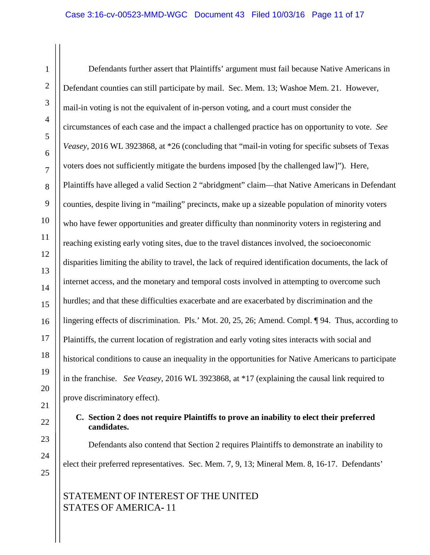1 Defendants further assert that Plaintiffs' argument must fail because Native Americans in Defendant counties can still participate by mail. Sec. Mem. 13; Washoe Mem. 21. However, mail-in voting is not the equivalent of in-person voting, and a court must consider the circumstances of each case and the impact a challenged practice has on opportunity to vote. *See Veasey*, 2016 WL 3923868, at \*26 (concluding that "mail-in voting for specific subsets of Texas voters does not sufficiently mitigate the burdens imposed [by the challenged law]"). Here, Plaintiffs have alleged a valid Section 2 "abridgment" claim—that Native Americans in Defendant counties, despite living in "mailing" precincts, make up a sizeable population of minority voters who have fewer opportunities and greater difficulty than nonminority voters in registering and reaching existing early voting sites, due to the travel distances involved, the socioeconomic disparities limiting the ability to travel, the lack of required identification documents, the lack of internet access, and the monetary and temporal costs involved in attempting to overcome such hurdles; and that these difficulties exacerbate and are exacerbated by discrimination and the lingering effects of discrimination. Pls.' Mot. 20, 25, 26; Amend. Compl. ¶ 94. Thus, according to Plaintiffs, the current location of registration and early voting sites interacts with social and historical conditions to cause an inequality in the opportunities for Native Americans to participate in the franchise. *See Veasey*, 2016 WL 3923868, at \*17 (explaining the causal link required to prove discriminatory effect).

### **C. Section 2 does not require Plaintiffs to prove an inability to elect their preferred candidates.**

Defendants also contend that Section 2 requires Plaintiffs to demonstrate an inability to elect their preferred representatives. Sec. Mem. 7, 9, 13; Mineral Mem. 8, 16-17. Defendants'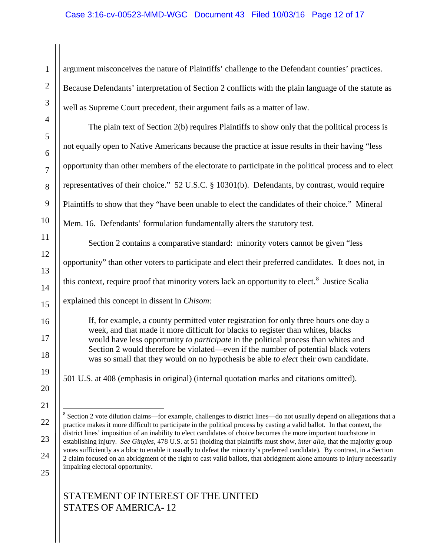### Case 3:16-cv-00523-MMD-WGC Document 43 Filed 10/03/16 Page 12 of 17

1 2 3 4 5 6 7 8 9 10 11 12 13 14 15 16 17 18 19 20 21 22 23 24 argument misconceives the nature of Plaintiffs' challenge to the Defendant counties' practices. Because Defendants' interpretation of Section 2 conflicts with the plain language of the statute as well as Supreme Court precedent, their argument fails as a matter of law. The plain text of Section 2(b) requires Plaintiffs to show only that the political process is not equally open to Native Americans because the practice at issue results in their having "less opportunity than other members of the electorate to participate in the political process and to elect representatives of their choice." 52 U.S.C. § 10301(b). Defendants, by contrast, would require Plaintiffs to show that they "have been unable to elect the candidates of their choice." Mineral Mem. 16. Defendants' formulation fundamentally alters the statutory test. Section 2 contains a comparative standard: minority voters cannot be given "less opportunity" than other voters to participate and elect their preferred candidates. It does not, in this context, require proof that minority voters lack an opportunity to elect.<sup>[8](#page-11-0)</sup> Justice Scalia If, for example, a county permitted voter registration for only three hours one day a week, and that made it more difficult for blacks to register than whites, blacks would have less opportunity *to participate* in the political process than whites and Section 2 would therefore be violated—even if the number of potential black voters was so small that they would on no hypothesis be able *to elect* their own candidate. explained this concept in dissent in *Chisom:* 501 U.S. at 408 (emphasis in original) (internal quotation marks and citations omitted).  $8$  Section 2 vote dilution claims—for example, challenges to district lines—do not usually depend on allegations that a practice makes it more difficult to participate in the political process by casting a valid ballot. In that context, the district lines' imposition of an inability to elect candidates of choice becomes the more important touchstone in establishing injury. *See Gingles*, 478 U.S. at 51 (holding that plaintiffs must show, *inter alia*, that the majority group votes sufficiently as a bloc to enable it usually to defeat the minority's preferred candidate). By contrast, in a Section 2 claim focused on an abridgment of the right to cast valid ballots, that abridgment alone amounts to injury necessarily

<span id="page-11-0"></span>25

## STATEMENT OF INTEREST OF THE UNITED STATES OF AMERICA**-** 12

impairing electoral opportunity.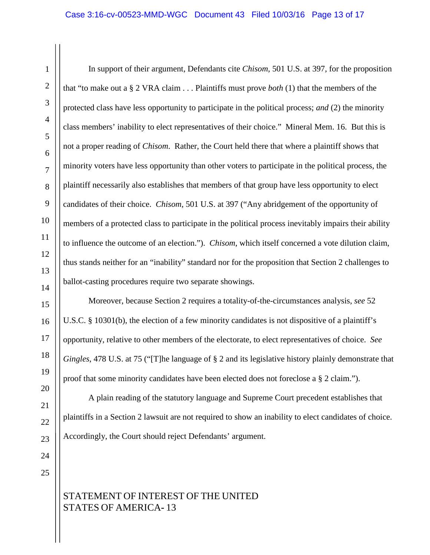In support of their argument, Defendants cite *Chisom*, 501 U.S. at 397, for the proposition that "to make out a § 2 VRA claim . . . Plaintiffs must prove *both* (1) that the members of the protected class have less opportunity to participate in the political process; *and* (2) the minority class members' inability to elect representatives of their choice." Mineral Mem. 16. But this is not a proper reading of *Chisom*. Rather, the Court held there that where a plaintiff shows that minority voters have less opportunity than other voters to participate in the political process, the plaintiff necessarily also establishes that members of that group have less opportunity to elect candidates of their choice. *Chisom*, 501 U.S. at 397 ("Any abridgement of the opportunity of members of a protected class to participate in the political process inevitably impairs their ability to influence the outcome of an election."). *Chisom*, which itself concerned a vote dilution claim, thus stands neither for an "inability" standard nor for the proposition that Section 2 challenges to ballot-casting procedures require two separate showings.

Moreover, because Section 2 requires a totality-of-the-circumstances analysis, *see* 52 U.S.C. § 10301(b), the election of a few minority candidates is not dispositive of a plaintiff's opportunity, relative to other members of the electorate, to elect representatives of choice. *See Gingles*, 478 U.S. at 75 ("[T]he language of § 2 and its legislative history plainly demonstrate that proof that some minority candidates have been elected does not foreclose a § 2 claim.").

A plain reading of the statutory language and Supreme Court precedent establishes that plaintiffs in a Section 2 lawsuit are not required to show an inability to elect candidates of choice. Accordingly, the Court should reject Defendants' argument.

25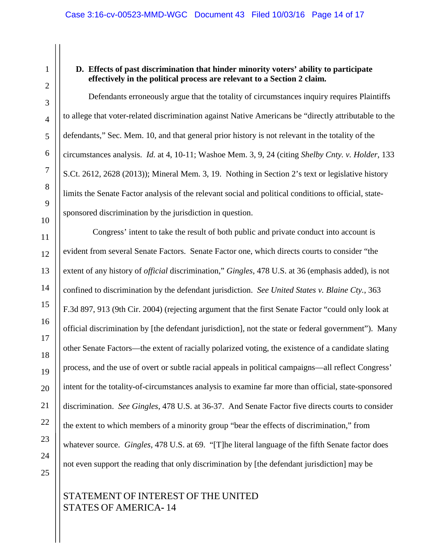### **D. Effects of past discrimination that hinder minority voters' ability to participate effectively in the political process are relevant to a Section 2 claim.**

Defendants erroneously argue that the totality of circumstances inquiry requires Plaintiffs to allege that voter-related discrimination against Native Americans be "directly attributable to the defendants," Sec. Mem. 10, and that general prior history is not relevant in the totality of the circumstances analysis. *Id.* at 4, 10-11; Washoe Mem. 3, 9, 24 (citing *Shelby Cnty. v. Holder*, 133 S.Ct. 2612, 2628 (2013)); Mineral Mem. 3, 19. Nothing in Section 2's text or legislative history limits the Senate Factor analysis of the relevant social and political conditions to official, statesponsored discrimination by the jurisdiction in question.

 Congress' intent to take the result of both public and private conduct into account is evident from several Senate Factors. Senate Factor one, which directs courts to consider "the extent of any history of *official* discrimination," *Gingles*, 478 U.S. at 36 (emphasis added), is not confined to discrimination by the defendant jurisdiction. *See United States v. Blaine Cty.*, 363 F.3d 897, 913 (9th Cir. 2004) (rejecting argument that the first Senate Factor "could only look at official discrimination by [the defendant jurisdiction], not the state or federal government"). Many other Senate Factors—the extent of racially polarized voting, the existence of a candidate slating process, and the use of overt or subtle racial appeals in political campaigns—all reflect Congress' intent for the totality-of-circumstances analysis to examine far more than official, state-sponsored discrimination. *See Gingles*, 478 U.S. at 36-37. And Senate Factor five directs courts to consider the extent to which members of a minority group "bear the effects of discrimination," from whatever source. *Gingles*, 478 U.S. at 69. "[T]he literal language of the fifth Senate factor does not even support the reading that only discrimination by [the defendant jurisdiction] may be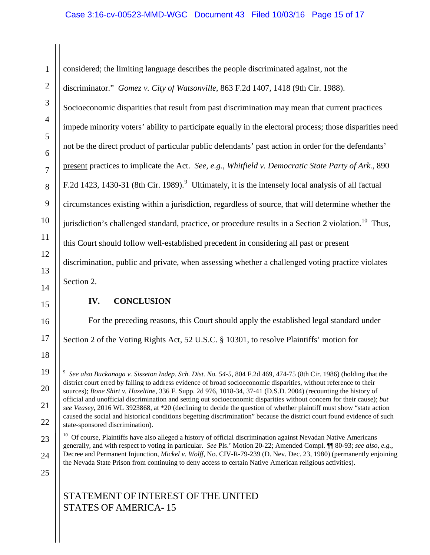considered; the limiting language describes the people discriminated against, not the discriminator." *Gomez v. City of Watsonville*, 863 F.2d 1407, 1418 (9th Cir. 1988). Socioeconomic disparities that result from past discrimination may mean that current practices impede minority voters' ability to participate equally in the electoral process; those disparities need not be the direct product of particular public defendants' past action in order for the defendants' present practices to implicate the Act. *See, e.g.*, *Whitfield v. Democratic State Party of Ark.*, 890 F.2d 1423, 1430-31 (8th Cir. 1[9](#page-14-0)89).<sup>9</sup> Ultimately, it is the intensely local analysis of all factual circumstances existing within a jurisdiction, regardless of source, that will determine whether the jurisdiction's challenged standard, practice, or procedure results in a Section 2 violation.<sup>[10](#page-14-1)</sup> Thus, this Court should follow well-established precedent in considering all past or present discrimination, public and private, when assessing whether a challenged voting practice violates Section 2.

### **IV. CONCLUSION**

For the preceding reasons, this Court should apply the established legal standard under

Section 2 of the Voting Rights Act, 52 U.S.C. § 10301, to resolve Plaintiffs' motion for

25

1

2

3

4

5

6

7

8

9

10

11

12

13

14

15

16

17

18

<span id="page-14-0"></span>19

20

21

22

<sup>-&</sup>lt;br>9 *See also Buckanaga v. Sisseton Indep. Sch. Dist. No. 54-5*, 804 F.2d 469, 474-75 (8th Cir. 1986) (holding that the district court erred by failing to address evidence of broad socioeconomic disparities, without reference to their sources); *Bone Shirt v. Hazeltine*, 336 F. Supp. 2d 976, 1018-34, 37-41 (D.S.D. 2004) (recounting the history of official and unofficial discrimination and setting out socioeconomic disparities without concern for their cause); *but see Veasey*, 2016 WL 3923868, at \*20 (declining to decide the question of whether plaintiff must show "state action caused the social and historical conditions begetting discrimination" because the district court found evidence of such state-sponsored discrimination).

<span id="page-14-1"></span><sup>23</sup> 24 10 Of course, Plaintiffs have also alleged a history of official discrimination against Nevadan Native Americans generally, and with respect to voting in particular. *See* Pls.' Motion 20-22; Amended Compl. ¶¶ 80-93; *see also, e.g.*, Decree and Permanent Injunction, *Mickel v. Wolff*, No. CIV-R-79-239 (D. Nev. Dec. 23, 1980) (permanently enjoining the Nevada State Prison from continuing to deny access to certain Native American religious activities).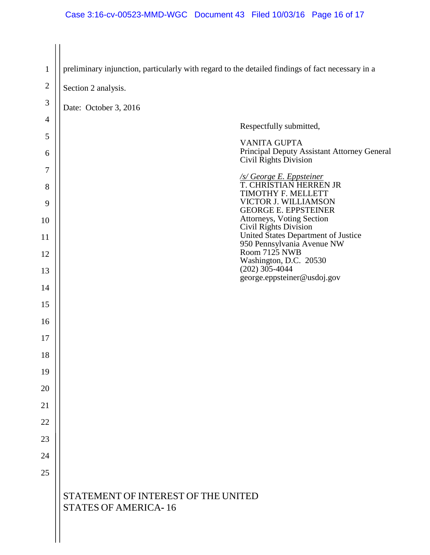STATEMENT OF INTEREST OF THE UNITED STATES OF AMERICA**-** 16 1 2 3 4 5 6 7 8 9 10 11 12 13 14 15 16 17 18 19 20 21 22 23 24 25 preliminary injunction, particularly with regard to the detailed findings of fact necessary in a Section 2 analysis. Date: October 3, 2016 Respectfully submitted, VANITA GUPTA Principal Deputy Assistant Attorney General Civil Rights Division */s/ George E. Eppsteiner* T. CHRISTIAN HERREN JR TIMOTHY F. MELLETT VICTOR J. WILLIAMSON GEORGE E. EPPSTEINER Attorneys, Voting Section Civil Rights Division United States Department of Justice 950 Pennsylvania Avenue NW Room 7125 NWB Washington, D.C. 20530  $(202)$  305-4044 george.eppsteiner@usdoj.gov